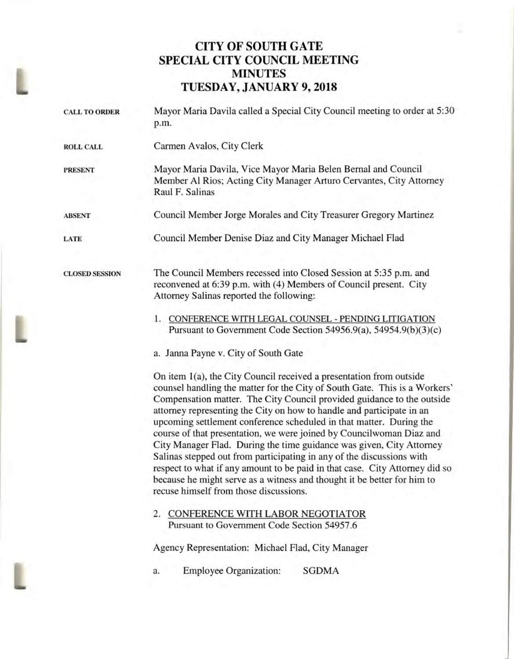## **CITY OF SOUTH GATE SPECIAL CITY COUNCIL MEETING MINUTES TUESDAY, JANUARY 9, 2018**

| <b>CALL TO ORDER</b>  | Mayor Maria Davila called a Special City Council meeting to order at 5:30<br>p.m.                                                                                                                                                                                                                                                                                                                                                                                                                                                                                                                                                                                                                                                                                                                        |
|-----------------------|----------------------------------------------------------------------------------------------------------------------------------------------------------------------------------------------------------------------------------------------------------------------------------------------------------------------------------------------------------------------------------------------------------------------------------------------------------------------------------------------------------------------------------------------------------------------------------------------------------------------------------------------------------------------------------------------------------------------------------------------------------------------------------------------------------|
| <b>ROLL CALL</b>      | Carmen Avalos, City Clerk                                                                                                                                                                                                                                                                                                                                                                                                                                                                                                                                                                                                                                                                                                                                                                                |
| <b>PRESENT</b>        | Mayor Maria Davila, Vice Mayor Maria Belen Bernal and Council<br>Member Al Rios; Acting City Manager Arturo Cervantes, City Attorney<br>Raul F. Salinas                                                                                                                                                                                                                                                                                                                                                                                                                                                                                                                                                                                                                                                  |
| <b>ABSENT</b>         | Council Member Jorge Morales and City Treasurer Gregory Martinez                                                                                                                                                                                                                                                                                                                                                                                                                                                                                                                                                                                                                                                                                                                                         |
| LATE                  | Council Member Denise Diaz and City Manager Michael Flad                                                                                                                                                                                                                                                                                                                                                                                                                                                                                                                                                                                                                                                                                                                                                 |
| <b>CLOSED SESSION</b> | The Council Members recessed into Closed Session at 5:35 p.m. and<br>reconvened at 6:39 p.m. with (4) Members of Council present. City<br>Attorney Salinas reported the following:                                                                                                                                                                                                                                                                                                                                                                                                                                                                                                                                                                                                                       |
|                       | 1. CONFERENCE WITH LEGAL COUNSEL - PENDING LITIGATION<br>Pursuant to Government Code Section 54956.9(a), 54954.9(b)(3)(c)                                                                                                                                                                                                                                                                                                                                                                                                                                                                                                                                                                                                                                                                                |
|                       | a. Janna Payne v. City of South Gate                                                                                                                                                                                                                                                                                                                                                                                                                                                                                                                                                                                                                                                                                                                                                                     |
|                       | On item 1(a), the City Council received a presentation from outside<br>counsel handling the matter for the City of South Gate. This is a Workers'<br>Compensation matter. The City Council provided guidance to the outside<br>attorney representing the City on how to handle and participate in an<br>upcoming settlement conference scheduled in that matter. During the<br>course of that presentation, we were joined by Councilwoman Diaz and<br>City Manager Flad. During the time guidance was given, City Attorney<br>Salinas stepped out from participating in any of the discussions with<br>respect to what if any amount to be paid in that case. City Attorney did so<br>because he might serve as a witness and thought it be better for him to<br>recuse himself from those discussions. |
|                       | 2. CONFERENCE WITH LABOR NEGOTIATOR<br>Pursuant to Government Code Section 54957.6                                                                                                                                                                                                                                                                                                                                                                                                                                                                                                                                                                                                                                                                                                                       |
|                       | Agency Representation: Michael Flad, City Manager                                                                                                                                                                                                                                                                                                                                                                                                                                                                                                                                                                                                                                                                                                                                                        |
|                       | <b>Employee Organization:</b><br>SGDMA<br>a.                                                                                                                                                                                                                                                                                                                                                                                                                                                                                                                                                                                                                                                                                                                                                             |